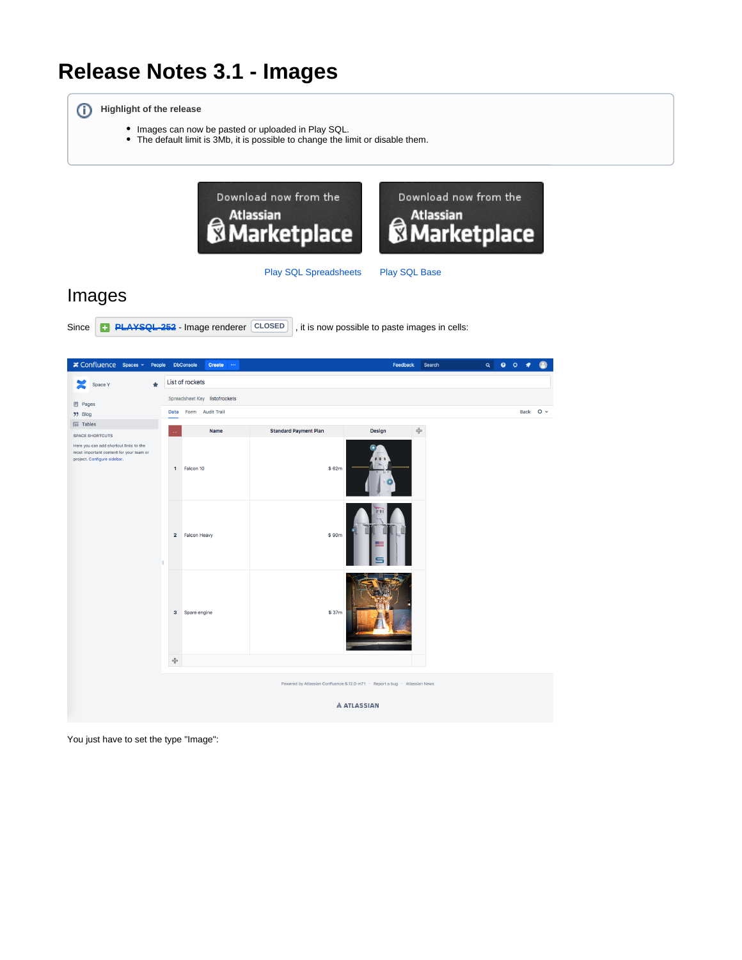# **Release Notes 3.1 - Images**

**Highlight of the release**

- Images can now be pasted or uploaded in Play SQL.
- The default limit is 3Mb, it is possible to change the limit or disable them.



#### [Play SQL Spreadsheets](https://marketplace.atlassian.com/plugins/com.playsql.playsql-plugin) [Play SQL Base](https://marketplace.atlassian.com/plugins/com.playsql.playsql-base-plugin)

Images





You just have to set the type "Image":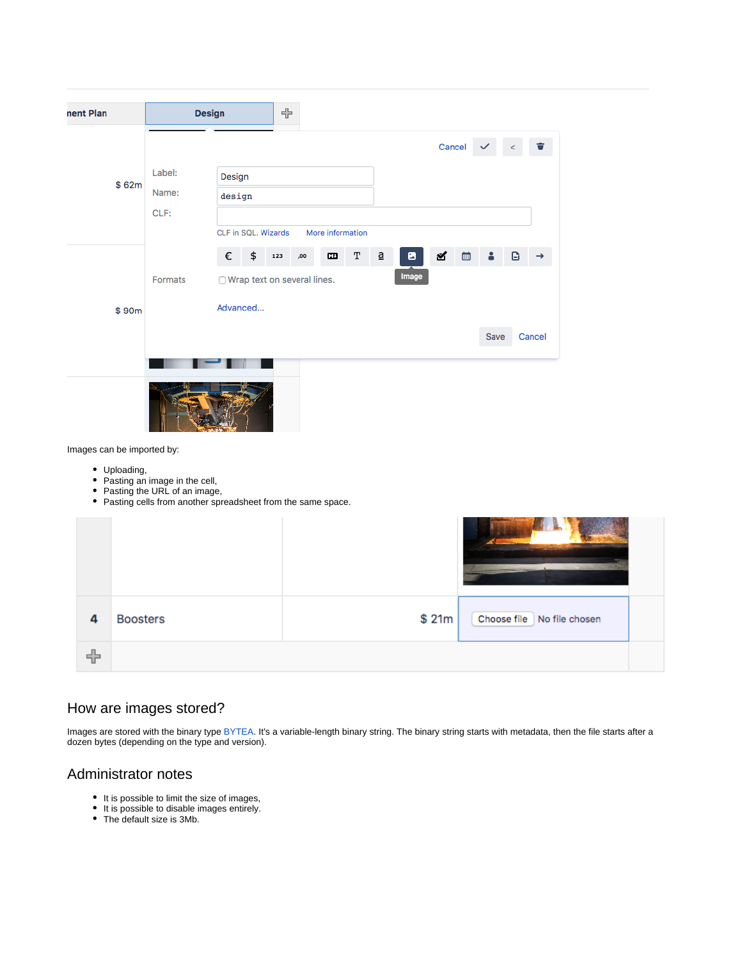| nent Plan                                  | Design                                                                                                                             |        |                                         | ╬   |     |   |             |                          |       |       |   |      |   |                                               |
|--------------------------------------------|------------------------------------------------------------------------------------------------------------------------------------|--------|-----------------------------------------|-----|-----|---|-------------|--------------------------|-------|-------|---|------|---|-----------------------------------------------|
|                                            |                                                                                                                                    |        |                                         |     |     |   |             |                          |       |       |   |      |   | Cancel $\checkmark$ $\checkmark$ $\checkmark$ |
| \$62m                                      | Label:                                                                                                                             |        | Design                                  |     |     |   |             |                          |       |       |   |      |   |                                               |
|                                            | Name:                                                                                                                              | design |                                         |     |     |   |             |                          |       |       |   |      |   |                                               |
|                                            | CLF:                                                                                                                               |        |                                         |     |     |   |             |                          |       |       |   |      |   |                                               |
|                                            |                                                                                                                                    |        | CLF in SQL. Wizards<br>More information |     |     |   |             |                          |       |       |   |      |   |                                               |
|                                            |                                                                                                                                    | €      | \$                                      | 123 | ,00 | Œ | $\mathbf T$ | $\underline{\mathtt{a}}$ | ø     | ⊻     | 曲 | 8    | G | →                                             |
|                                            | Formats                                                                                                                            |        | ◯ Wrap text on several lines.           |     |     |   |             |                          | Image |       |   |      |   |                                               |
| \$90m                                      |                                                                                                                                    |        | Advanced                                |     |     |   |             |                          |       |       |   |      |   |                                               |
|                                            |                                                                                                                                    |        |                                         |     |     |   |             |                          |       |       |   | Save |   | Cancel                                        |
| Images can be imported by:<br>• Uploading, | • Pasting an image in the cell,<br>• Pasting the URL of an image,<br>• Pasting cells from another spreadsheet from the same space. |        |                                         |     |     |   |             |                          |       |       |   |      |   |                                               |
|                                            |                                                                                                                                    |        |                                         |     |     |   |             |                          |       |       |   |      |   |                                               |
| 4<br><b>Boosters</b>                       |                                                                                                                                    |        |                                         |     |     |   |             |                          |       | \$21m |   |      |   | Choose file No file chosen                    |
| ╬                                          |                                                                                                                                    |        |                                         |     |     |   |             |                          |       |       |   |      |   |                                               |

## How are images stored?

Images are stored with the binary type [BYTEA](https://www.postgresql.org/docs/9.6/static/datatype-binary.html). It's a variable-length binary string. The binary string starts with metadata, then the file starts after a dozen bytes (depending on the type and version).

# Administrator notes

- It is possible to limit the size of images,
- It is possible to disable images entirely.
- The default size is 3Mb.